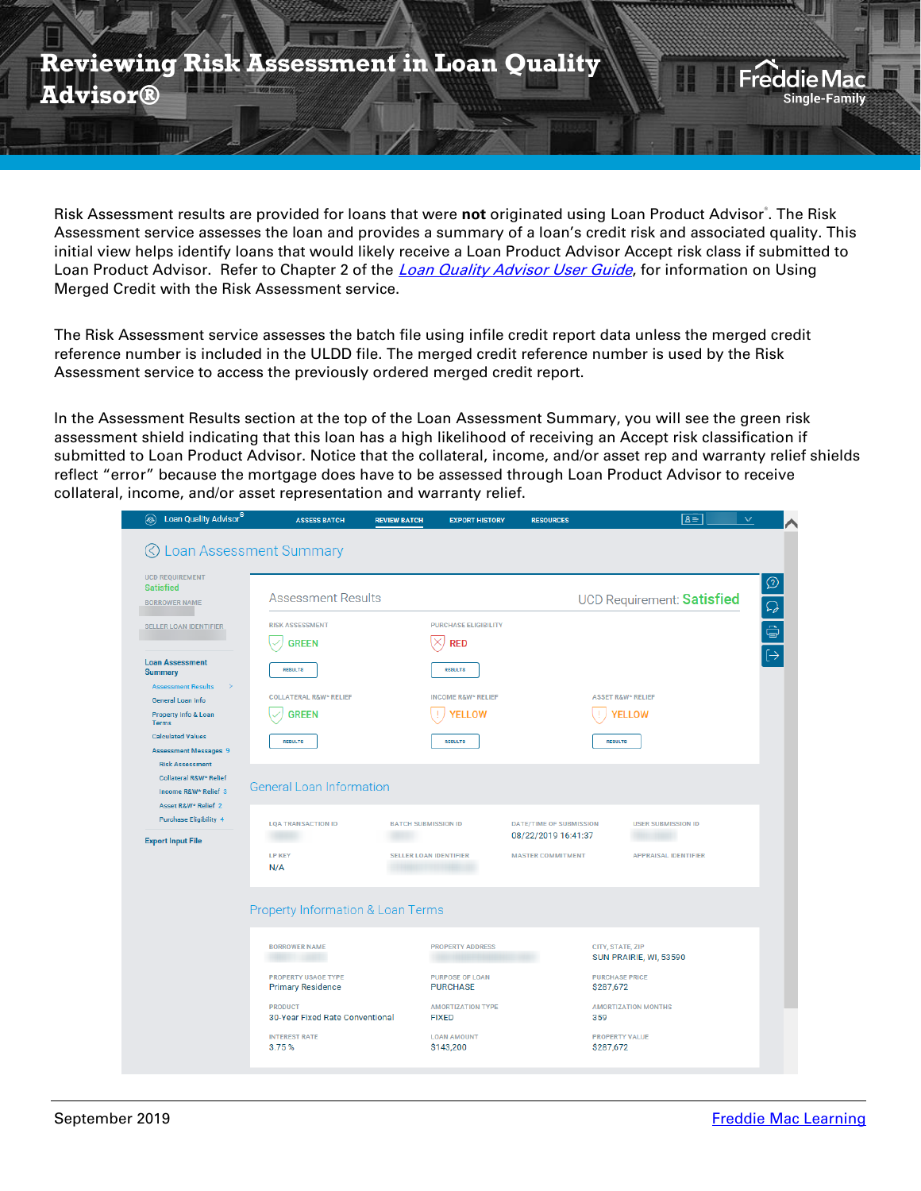

Risk Assessment results are provided for loans that were not originated using Loan Product Advisor<sup>®</sup>. The Risk Assessment service assesses the loan and provides a summary of a loan's credit risk and associated quality. This initial view helps identify loans that would likely receive a Loan Product Advisor Accept risk class if submitted to Loan Product Advisor. Refer to Chapter 2 of the *[Loan Quality Advisor User Guide](https://sf.freddiemac.com/content/_assets/resources/pdf/fact-sheet/lqa_userguide.pdf)*, for information on Using Merged Credit with the Risk Assessment service.

The Risk Assessment service assesses the batch file using infile credit report data unless the merged credit reference number is included in the ULDD file. The merged credit reference number is used by the Risk Assessment service to access the previously ordered merged credit report.

In the Assessment Results section at the top of the Loan Assessment Summary, you will see the green risk assessment shield indicating that this loan has a high likelihood of receiving an Accept risk classification if submitted to Loan Product Advisor. Notice that the collateral, income, and/or asset rep and warranty relief shields reflect "error" because the mortgage does have to be assessed through Loan Product Advisor to receive collateral, income, and/or asset representation and warranty relief.

| Loan Quality Advisor<br>۵                              | <b>ASSESS BATCH</b>                                    | <b>REVIEW BATCH</b>           | <b>EXPORT HISTORY</b>                     | <b>RESOURCES</b>               | $\overline{a}$                             | $\checkmark$  |
|--------------------------------------------------------|--------------------------------------------------------|-------------------------------|-------------------------------------------|--------------------------------|--------------------------------------------|---------------|
|                                                        | ◯ Loan Assessment Summary                              |                               |                                           |                                |                                            |               |
| <b>UCD REQUIREMENT</b><br><b>Satisfied</b>             |                                                        |                               |                                           |                                |                                            |               |
| <b>BORROWER NAME</b>                                   | <b>Assessment Results</b>                              |                               |                                           |                                | <b>UCD Requirement: Satisfied</b>          | $\frac{1}{2}$ |
| <b>SELLER LOAN IDENTIFIER</b>                          | <b>RISK ASSESSMENT</b>                                 |                               | <b>PURCHASE ELIGIBILITY</b>               |                                |                                            |               |
|                                                        | <b>GREEN</b>                                           |                               | <b>RED</b>                                |                                |                                            |               |
| <b>Loan Assessment</b><br><b>Summary</b>               | <b>RESULTS</b>                                         |                               | <b>RESULTS</b>                            |                                |                                            |               |
| <b>Assessment Results</b><br>General Loan Info         | <b>COLLATERAL R&amp;W* RELIEF</b>                      |                               | <b>INCOME R&amp;W* RELIEF</b>             |                                | <b>ASSET R&amp;W* RELIEF</b>               |               |
| Property Info & Loan<br><b>Terms</b>                   | <b>GREEN</b>                                           |                               | <b>YELLOW</b>                             |                                | <b>ELLOW</b>                               |               |
| <b>Calculated Values</b>                               | <b>RESULTS</b>                                         |                               | <b>RESULTS</b>                            | <b>RESULTS</b>                 |                                            |               |
| <b>Assessment Messages 9</b><br><b>Risk Assessment</b> |                                                        |                               |                                           |                                |                                            |               |
| <b>Collateral R&amp;W* Relief</b>                      | <b>General Loan Information</b>                        |                               |                                           |                                |                                            |               |
| Income R&W* Relief 3<br>Asset R&W* Relief 2            |                                                        |                               |                                           |                                |                                            |               |
| <b>Purchase Eligibility 4</b>                          | <b>LOA TRANSACTION ID</b>                              | <b>BATCH SUBMISSION ID</b>    |                                           | <b>DATE/TIME OF SUBMISSION</b> | <b>USER SUBMISSION ID</b>                  |               |
| <b>Export Input File</b>                               |                                                        |                               |                                           | 08/22/2019 16:41:37            |                                            |               |
|                                                        | <b>LP KEY</b><br>N/A                                   | <b>SELLER LOAN IDENTIFIER</b> |                                           | <b>MASTER COMMITMENT</b>       | <b>APPRAISAL IDENTIFIER</b>                |               |
|                                                        | <b>Property Information &amp; Loan Terms</b>           |                               |                                           |                                |                                            |               |
|                                                        |                                                        |                               |                                           |                                |                                            |               |
|                                                        | <b>BORROWER NAME</b>                                   |                               | <b>PROPERTY ADDRESS</b>                   |                                | CITY, STATE, ZIP<br>SUN PRAIRIE, WI, 53590 |               |
|                                                        | <b>PROPERTY USAGE TYPE</b><br><b>Primary Residence</b> |                               | <b>PURPOSE OF LOAN</b><br><b>PURCHASE</b> | \$287,672                      | <b>PURCHASE PRICE</b>                      |               |
|                                                        | <b>PRODUCT</b><br>30-Year Fixed Rate Conventional      |                               | <b>AMORTIZATION TYPE</b><br><b>FIXED</b>  | 359                            | <b>AMORTIZATION MONTHS</b>                 |               |
|                                                        | <b>INTEREST RATE</b>                                   | <b>LOAN AMOUNT</b>            |                                           |                                | <b>PROPERTY VALUE</b>                      |               |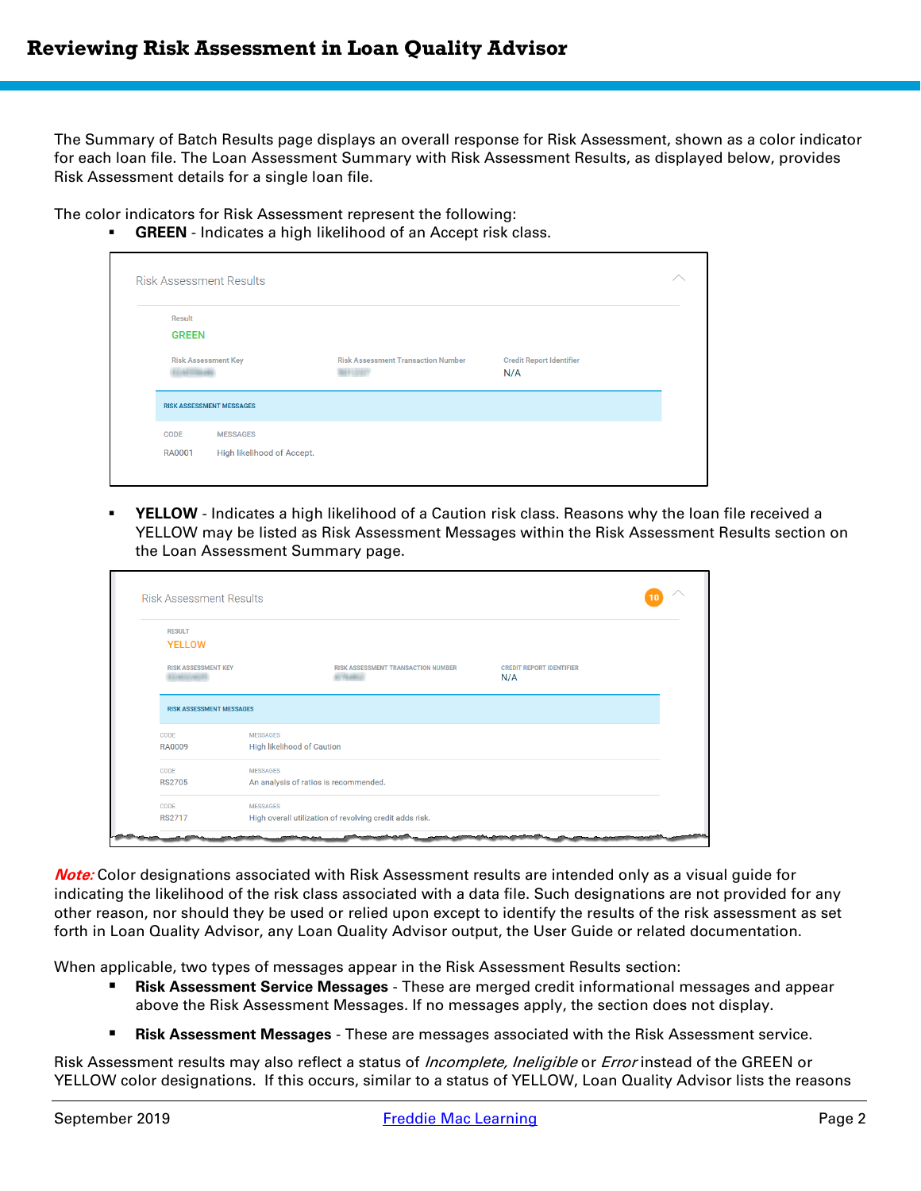The Summary of Batch Results page displays an overall response for Risk Assessment, shown as a color indicator for each loan file. The Loan Assessment Summary with Risk Assessment Results, as displayed below, provides Risk Assessment details for a single loan file.

The color indicators for Risk Assessment represent the following:

**GREEN** - Indicates a high likelihood of an Accept risk class.

|                                                  | <b>Risk Assessment Results</b>                |                                           |                                        |  |
|--------------------------------------------------|-----------------------------------------------|-------------------------------------------|----------------------------------------|--|
| Result<br><b>GREEN</b>                           |                                               |                                           |                                        |  |
| <b>Risk Assessment Key</b><br><b>CARTING HEL</b> |                                               | <b>Risk Assessment Transaction Number</b> | <b>Credit Report Identifier</b><br>N/A |  |
|                                                  | <b>RISK ASSESSMENT MESSAGES</b>               |                                           |                                        |  |
| CODE<br><b>RA0001</b>                            | <b>MESSAGES</b><br>High likelihood of Accept. |                                           |                                        |  |

YELLOW - Indicates a high likelihood of a Caution risk class. Reasons why the loan file received a YELLOW may be listed as Risk Assessment Messages within the Risk Assessment Results section on the Loan Assessment Summary page.

| <b>RESULT</b>                                     |                                                                     |                                        |  |
|---------------------------------------------------|---------------------------------------------------------------------|----------------------------------------|--|
| <b>YELLOW</b>                                     |                                                                     |                                        |  |
| <b>RISK ASSESSMENT KEY</b><br><b>SARED SAREES</b> | <b>RISK ASSESSMENT TRANSACTION NUMBER</b><br><b><i>ALTEMEDA</i></b> | <b>CREDIT REPORT IDENTIFIER</b><br>N/A |  |
|                                                   |                                                                     |                                        |  |
| <b>RISK ASSESSMENT MESSAGES</b>                   |                                                                     |                                        |  |
| CODE                                              | <b>MESSAGES</b>                                                     |                                        |  |
| <b>RA0009</b>                                     | <b>High likelihood of Caution</b>                                   |                                        |  |
| CODE                                              | <b>MESSAGES</b>                                                     |                                        |  |
| <b>RS2705</b>                                     | An analysis of ratios is recommended.                               |                                        |  |
| CODE                                              | <b>MESSAGES</b>                                                     |                                        |  |

**Note:** Color designations associated with Risk Assessment results are intended only as a visual guide for indicating the likelihood of the risk class associated with a data file. Such designations are not provided for any other reason, nor should they be used or relied upon except to identify the results of the risk assessment as set forth in Loan Quality Advisor, any Loan Quality Advisor output, the User Guide or related documentation.

When applicable, two types of messages appear in the Risk Assessment Results section:

- **Risk Assessment Service Messages** These are merged credit informational messages and appear above the Risk Assessment Messages. If no messages apply, the section does not display.
- **Risk Assessment Messages** These are messages associated with the Risk Assessment service.

Risk Assessment results may also reflect a status of *Incomplete, Ineligible* or *Error* instead of the GREEN or YELLOW color designations. If this occurs, similar to a status of YELLOW, Loan Quality Advisor lists the reasons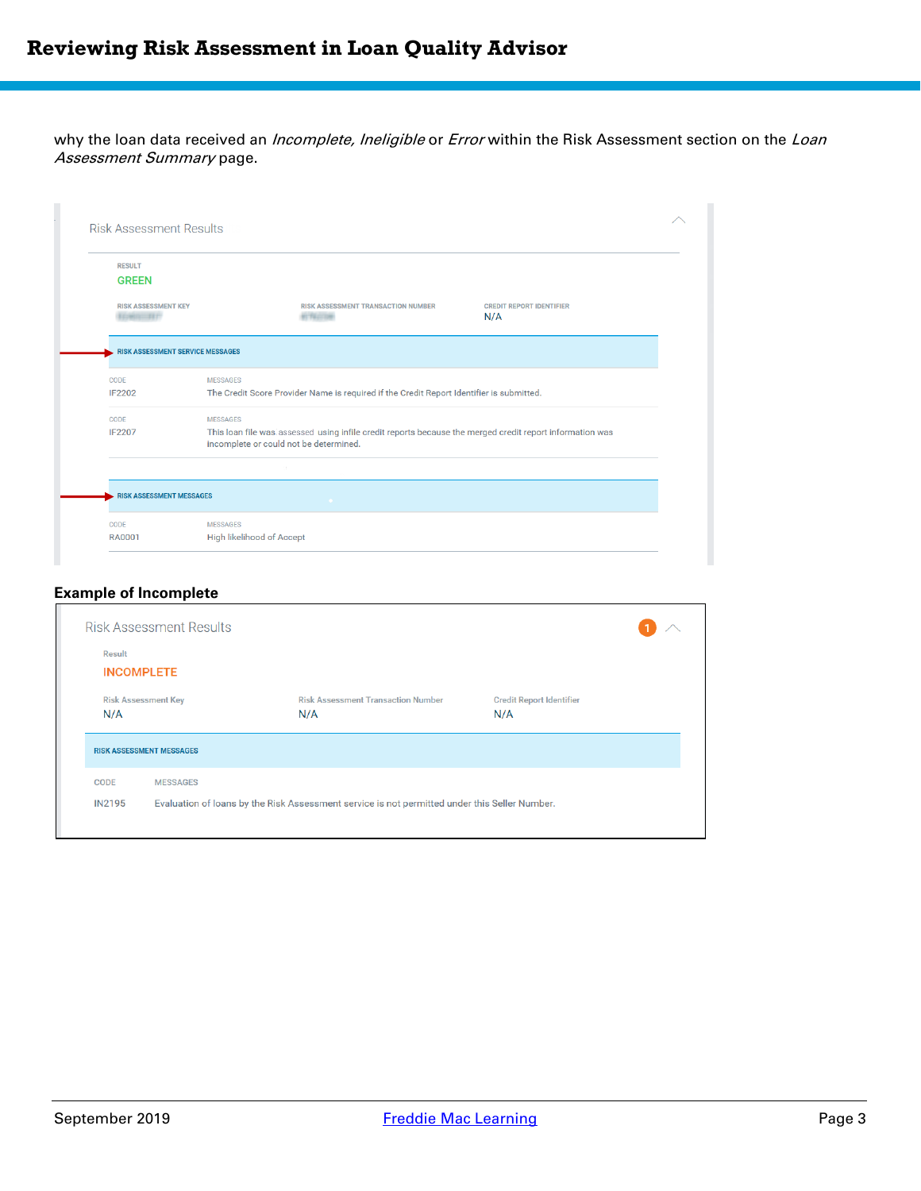why the loan data received an *Incomplete, Ineligible* or *Error* within the Risk Assessment section on the Loan Assessment Summary page.

| <b>RESULT</b>                                  |                                                                                                                                                    |                                        |
|------------------------------------------------|----------------------------------------------------------------------------------------------------------------------------------------------------|----------------------------------------|
| <b>GREEN</b>                                   |                                                                                                                                                    |                                        |
| <b>RISK ASSESSMENT KEY</b><br><b>CHAIN BET</b> | <b>RISK ASSESSMENT TRANSACTION NUMBER</b><br><b>ALTERCIAN</b>                                                                                      | <b>CREDIT REPORT IDENTIFIER</b><br>N/A |
| <b>RISK ASSESSMENT SERVICE MESSAGES</b>        |                                                                                                                                                    |                                        |
| CODE                                           | <b>MESSAGES</b>                                                                                                                                    |                                        |
| <b>IF2202</b>                                  | The Credit Score Provider Name is required if the Credit Report Identifier is submitted.                                                           |                                        |
| CODE                                           | <b>MESSAGES</b>                                                                                                                                    |                                        |
| <b>IF2207</b>                                  | This loan file was assessed using infile credit reports because the merged credit report information was<br>incomplete or could not be determined. |                                        |
|                                                |                                                                                                                                                    |                                        |
| <b>RISK ASSESSMENT MESSAGES</b>                | .                                                                                                                                                  |                                        |
| CODE                                           | <b>MESSAGES</b>                                                                                                                                    |                                        |
|                                                |                                                                                                                                                    |                                        |

## **Example of Incomplete**

| Result            |                                                    |                                           |                                 |  |
|-------------------|----------------------------------------------------|-------------------------------------------|---------------------------------|--|
| <b>INCOMPLETE</b> |                                                    |                                           |                                 |  |
|                   | <b>Risk Assessment Key</b>                         | <b>Risk Assessment Transaction Number</b> | <b>Credit Report Identifier</b> |  |
| N/A               | N/A                                                |                                           | N/A                             |  |
|                   |                                                    |                                           |                                 |  |
| <b>CODE</b>       | <b>RISK ASSESSMENT MESSAGES</b><br><b>MESSAGES</b> |                                           |                                 |  |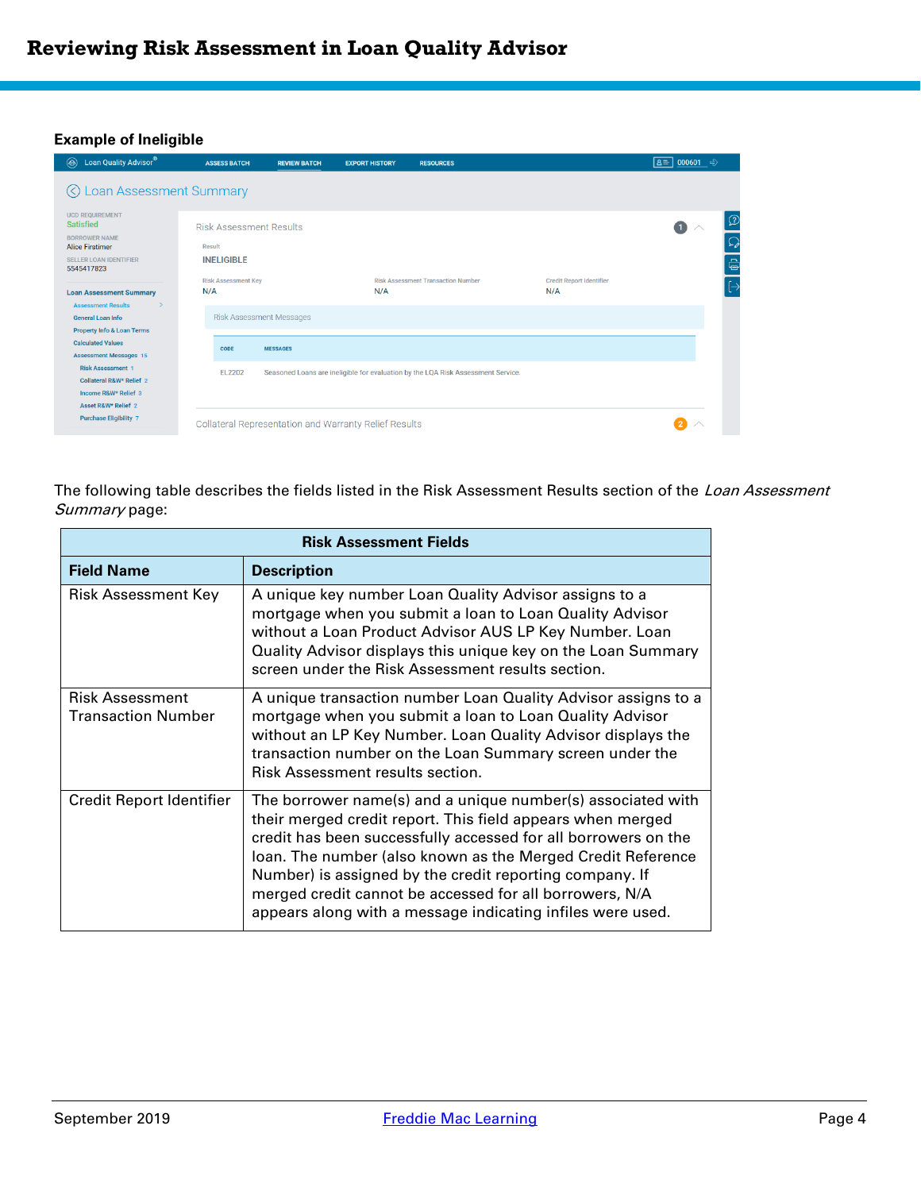## **Example of Ineligible**

| Loan Quality Advisor®<br>$\circledast$                                                             | <b>ASSESS BATCH</b>                      | <b>REVIEW BATCH</b>                                   | <b>EXPORT HISTORY</b> | <b>RESOURCES</b>                                                                 |                                        | $B = 000601$ $\Rightarrow$ |
|----------------------------------------------------------------------------------------------------|------------------------------------------|-------------------------------------------------------|-----------------------|----------------------------------------------------------------------------------|----------------------------------------|----------------------------|
| © Loan Assessment Summary                                                                          |                                          |                                                       |                       |                                                                                  |                                        |                            |
| <b>UCD REQUIREMENT</b><br><b>Satisfied</b><br><b>BORROWER NAME</b><br><b>Alice Firstimer</b>       | <b>Risk Assessment Results</b><br>Result |                                                       |                       |                                                                                  |                                        | $\Omega$                   |
| <b>SELLER LOAN IDENTIFIER</b><br>5545417823                                                        | <b>INELIGIBLE</b>                        |                                                       |                       |                                                                                  |                                        | Ĝ                          |
| <b>Loan Assessment Summary</b><br><b>Assessment Results</b><br>$\rightarrow$                       | <b>Risk Assessment Key</b><br>N/A        |                                                       | N/A                   | <b>Risk Assessment Transaction Number</b>                                        | <b>Credit Report Identifier</b><br>N/A |                            |
| <b>General Loan Info</b>                                                                           |                                          | <b>Risk Assessment Messages</b>                       |                       |                                                                                  |                                        |                            |
| <b>Property Info &amp; Loan Terms</b><br><b>Calculated Values</b><br><b>Assessment Messages 15</b> | CODE                                     | <b>MESSAGES</b>                                       |                       |                                                                                  |                                        |                            |
| <b>Risk Assessment 1</b><br>Collateral R&W* Relief 2<br>Income R&W* Relief 3                       | EL2202                                   |                                                       |                       | Seasoned Loans are ineligible for evaluation by the LQA Risk Assessment Service. |                                        |                            |
| Asset R&W* Relief 2<br><b>Purchase Eligibility 7</b>                                               |                                          | Collateral Representation and Warranty Relief Results |                       |                                                                                  |                                        |                            |

The following table describes the fields listed in the Risk Assessment Results section of the Loan Assessment Summary page:

|                                              | <b>Risk Assessment Fields</b>                                                                                                                                                                                                                                                                                                                                                                                                                  |  |  |  |  |  |
|----------------------------------------------|------------------------------------------------------------------------------------------------------------------------------------------------------------------------------------------------------------------------------------------------------------------------------------------------------------------------------------------------------------------------------------------------------------------------------------------------|--|--|--|--|--|
| <b>Field Name</b>                            | <b>Description</b>                                                                                                                                                                                                                                                                                                                                                                                                                             |  |  |  |  |  |
| Risk Assessment Key                          | A unique key number Loan Quality Advisor assigns to a<br>mortgage when you submit a loan to Loan Quality Advisor<br>without a Loan Product Advisor AUS LP Key Number. Loan<br>Quality Advisor displays this unique key on the Loan Summary<br>screen under the Risk Assessment results section.                                                                                                                                                |  |  |  |  |  |
| Risk Assessment<br><b>Transaction Number</b> | A unique transaction number Loan Quality Advisor assigns to a<br>mortgage when you submit a loan to Loan Quality Advisor<br>without an LP Key Number. Loan Quality Advisor displays the<br>transaction number on the Loan Summary screen under the<br>Risk Assessment results section.                                                                                                                                                         |  |  |  |  |  |
| Credit Report Identifier                     | The borrower name(s) and a unique number(s) associated with<br>their merged credit report. This field appears when merged<br>credit has been successfully accessed for all borrowers on the<br>loan. The number (also known as the Merged Credit Reference<br>Number) is assigned by the credit reporting company. If<br>merged credit cannot be accessed for all borrowers, N/A<br>appears along with a message indicating infiles were used. |  |  |  |  |  |